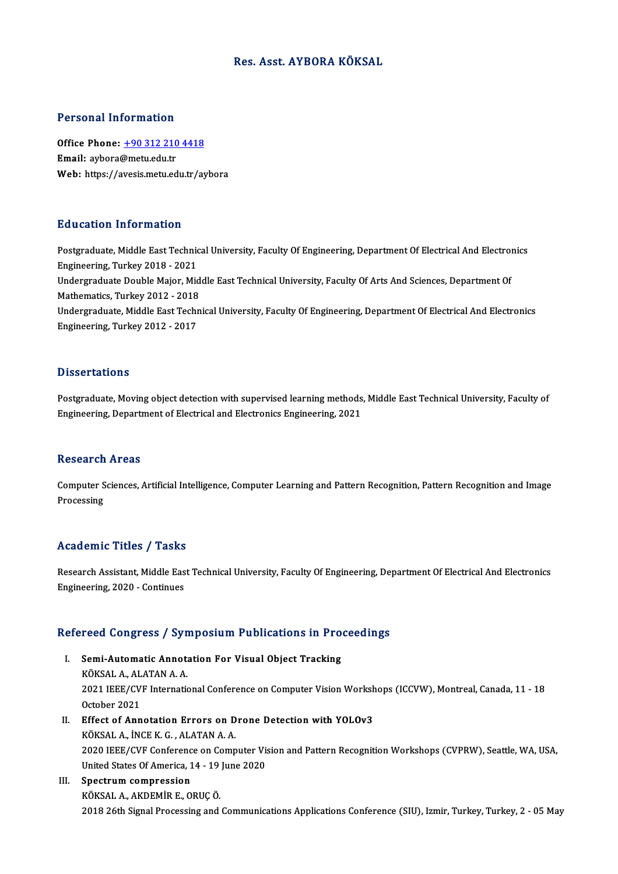#### Res. Asst. AYBORA KÖKSAL

#### Personal Information

Personal Information<br>Office Phone: <u>+90 312 210 4418</u><br>Email: aybara@maty.edu.tr Procedure and Charles of<br>Office Phone: <u>+90 312 210</u><br>Email: aybora@metu.edu.tr Email: aybora@metu.edu.tr<br>Web: https://a[vesis.metu.edu.tr/ay](tel:+90 312 210 4418)bora

#### Education Information

Postgraduate, Middle East Technical University, Faculty Of Engineering, Department Of Electrical And Electronics Engineering,Turkey2018 -2021 Postgraduate, Middle East Technical University, Faculty Of Engineering, Department Of Electrical And Electron<br>Engineering, Turkey 2018 - 2021<br>Undergraduate Double Major, Middle East Technical University, Faculty Of Arts An Engineering, Turkey 2018 - 2021<br>Undergraduate Double Major, Mid<br>Mathematics, Turkey 2012 - 2018<br>Undergraduate Middle Fast Techn Undergraduate Double Major, Middle East Technical University, Faculty Of Arts And Sciences, Department Of<br>Mathematics, Turkey 2012 - 2018<br>Undergraduate, Middle East Technical University, Faculty Of Engineering, Department Mathematics, Turkey 2012 - 2018<br>Undergraduate, Middle East Technical University, Faculty Of Engineering, Department Of Electrical And Electronics<br>Engineering, Turkey 2012 - 2017

#### **Dissertations**

Postgraduate, Moving object detection with supervised learning methods, Middle East Technical University, Faculty of Engineering, Department of Electrical and Electronics Engineering, 2021

#### **Research Areas**

Research Areas<br>Computer Sciences, Artificial Intelligence, Computer Learning and Pattern Recognition, Pattern Recognition and Image<br>Presessing **Computer S**<br>Processing

## Processing<br>Academic Titles / Tasks

Academic Titles / Tasks<br>Research Assistant, Middle East Technical University, Faculty Of Engineering, Department Of Electrical And Electronics Engineering, 2020 - Continues<br>Engineering, 2020 - Continues

# <sub>Engmeering, 2020 - Continues</sub><br>Refereed Congress / Symposium Publications in Proceedings

- efereed Congress / Symposium Publications in Pro<br>I. Semi-Automatic Annotation For Visual Object Tracking<br>*V*ÖVSALA ALATANA A I. Semi-Automatic Annotation For Visual Object Tracking<br>KÖKSAL A., ALATAN A. A. Semi-Automatic Annotation For Visual Object Tracking<br>KÖKSAL A., ALATAN A. A.<br>2021 IEEE/CVF International Conference on Computer Vision Workshops (ICCVW), Montreal, Canada, 11 - 18<br>Ostabar 2021 KÖKSAL A., AL<br>2021 IEEE/CV<br>October 2021<br>Effect of Ann
- 2021 IEEE/CVF International Conference on Computer Vision Worksh<br>October 2021<br>II. Effect of Annotation Errors on Drone Detection with YOLOv3<br>VOVSALA INCEV C. ALATANAAA October 2021<br>II. Effect of Annotation Errors on Drone Detection with YOLOv3<br>KÖKSAL A., İNCE K. G. , ALATAN A. A. 2020 IEEE/CVF Conference on Computer Vision and Pattern Recognition Workshops (CVPRW), Seattle, WA, USA, KÖKSAL A., İNCE K. G. , ALATAN A. A.<br>2020 IEEE/CVF Conference on Computer Vis<br>United States Of America, 14 - 19 June 2020<br>Spectrum compression 2020 IEEE/CVF Conferenc<br>United States Of America, 1<br>III. Spectrum compression

United States Of America, 14 - 19<br>Spectrum compression<br>KÖKSAL A., AKDEMİR E., ORUÇ Ö.<br>2018 26th Signal Processing and Spectrum compression<br>2018 26th Signal Processing and Communications Applications Conference (SIU), Izmir, Turkey, Turkey, 2 - 05 May<br>2018 26th Signal Processing and Communications Applications Conference (SIU), Izmir, Turk